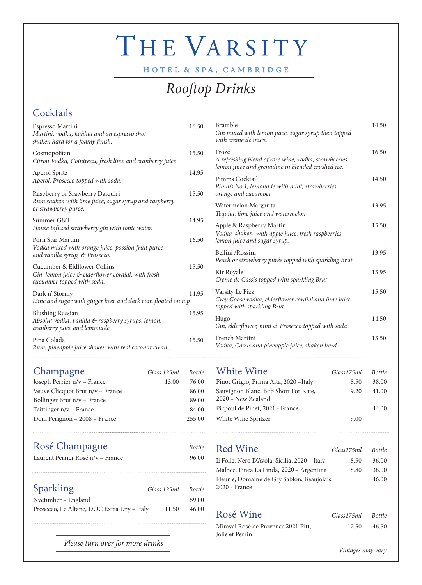## THE VARSITY

HOTEL & SPA, CAMBRIDGE

## *Rooftop Drinks*

#### **Cocktails**

| Pina Colada<br>Rum, pineapple juice shaken with real coconut cream.                                              | 15.50 |
|------------------------------------------------------------------------------------------------------------------|-------|
| <b>Blushing Russian</b><br>Absolut vodka, vanilla & raspberry syrups, lemon,<br>cranberry juice and lemonade.    | 15.95 |
| Dark n' Stormy<br>Lime and sugar with ginger beer and dark rum floated on top.                                   | 14.95 |
| Cucumber & Eldflower Collins<br>Gin, lemon juice & elderflower cordial, with fresh<br>cucumber topped with soda. | 15.50 |
| Porn Star Martini<br>Vodka mixed with orange juice, passion fruit puree<br>and vanilla syrup, & Prosecco.        | 16.50 |
| Summer G&T<br>House infused strawberry gin with tonic water.                                                     | 14.95 |
| Raspberry or Srawberry Daiquiri<br>Rum shaken with lime juice, sugar syrup and raspberry<br>or strawberry puree. | 15.50 |
| Aperol Spritz<br>Aperol, Prosecco topped with soda.                                                              | 14.95 |
| Cosmopolitan<br>Citron Vodka, Cointreau, fresh lime and cranberry juice                                          | 15.50 |
| Espresso Martini<br>Martini, vodka, kahlua and an espresso shot<br>shaken hard for a foamy finish.               | 16.50 |

#### Champagne *Glass 125ml Bottle*

| Joseph Perrier n/v - France      | 13.00 | 76.00  |
|----------------------------------|-------|--------|
| Veuve Clicquot Brut n/v – France |       | 86.00  |
| Bollinger Brut n/v – France      |       | 89.00  |
| Taittinger $n/v$ – France        |       | 84.00  |
| Dom Perignon - 2008 - France     |       | 255.00 |
|                                  |       |        |

| Rosé Champagne                    | <b>Bottle</b> |
|-----------------------------------|---------------|
| Laurent Perrier Rosé n/v – France | 96.00         |
|                                   |               |

| <b>Sparkling</b>                           | Glass 125ml | Bottle |
|--------------------------------------------|-------------|--------|
| Nyetimber – England                        |             | 59.00  |
| Prosecco, Le Altane, DOC Extra Dry – Italy | 11.50       | 46.00  |

| <b>Bramble</b><br>Gin mixed with lemon juice, sugar syrup then topped<br>with creme de mure.                        | 14.50 |
|---------------------------------------------------------------------------------------------------------------------|-------|
| Frozé<br>A refreshing blend of rose wine, vodka, strawberries,<br>lemon juice and grenadine in blended crushed ice. | 16.50 |
| Pimms Cocktail<br>Pimm's No.1, lemonade with mint, strawberries,<br>orange and cucumber.                            | 14.50 |
| Watermelon Margarita<br>Tequila, lime juice and watermelon                                                          | 13.95 |
| Apple & Raspberry Martini<br>Vodka shaken with apple juice, fresh raspberries,<br>lemon juice and sugar syrup.      | 15.50 |
| Bellini /Rossini<br>Peach or strawberry purée topped with sparkling Brut.                                           | 13.95 |
| Kir Royale<br>Creme de Cassis topped with sparkling Brut                                                            | 13.95 |
| Varsity Le Fizz<br>Grey Goose vodka, elderflower cordial and lime juice,<br>topped with sparkling Brut.             | 15.50 |
| Hugo<br>Gin, elderflower, mint & Prosecco topped with soda                                                          | 14.50 |
| French Martini                                                                                                      | 13.50 |

*Vodka, Cassis and pineapple juice, shaken hard*

| Glass175ml | <i>Bottle</i> |
|------------|---------------|
| 8.50       | 38.00         |
| 9.20       | 41.00         |
|            | 44.00         |
| 9.00       |               |
|            |               |

| <b>Red Wine</b>                               | Glass 175ml | Bottle |
|-----------------------------------------------|-------------|--------|
| Il Folle, Nero D'Avola, Sicilia, 2020 - Italy | 8.50        | 36.00  |
| Malbec, Finca La Linda, 2020 - Argentina      | 8.80        | 38.00  |
| Fleurie, Domaine de Gry Sablon, Beaujolais,   |             | 46.00  |
| 2020 - France                                 |             |        |

Rosé Wine *Glass175ml Bottle*

Jolie et Perrin

| Rosé Wine                                     | Glass175ml Bottle |       |
|-----------------------------------------------|-------------------|-------|
| Miraval Rosé de Provence 2021 Pitt,<br>11. D. | 12.50             | 46.50 |

*Please turn over for more drinks*